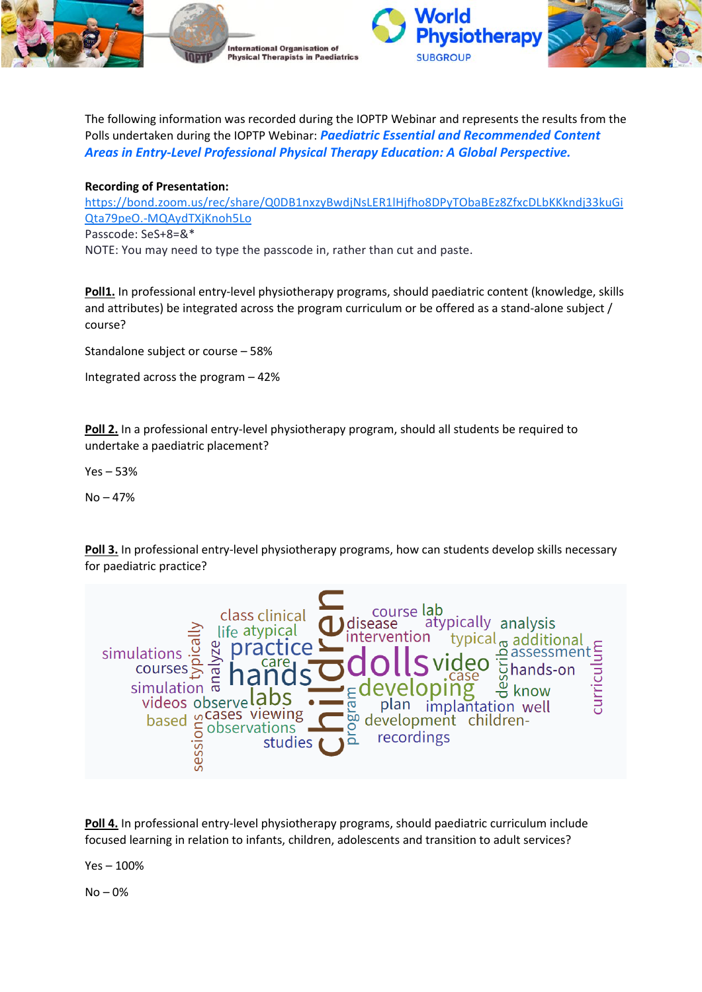

The following information was recorded during the IOPTP Webinar and represents the results from the Polls undertaken during the IOPTP Webinar: *Paediatric Essential and Recommended Content Areas in Entry-Level Professional Physical Therapy Education: A Global Perspective.*

## **Recording of Presentation:**

[https://bond.zoom.us/rec/share/Q0DB1nxzyBwdjNsLER1lHjfho8DPyTObaBEz8ZfxcDLbKKkndj33kuGi](https://bond.zoom.us/rec/share/Q0DB1nxzyBwdjNsLER1lHjfho8DPyTObaBEz8ZfxcDLbKKkndj33kuGiQta79peO.-MQAydTXjKnoh5Lo) [Qta79peO.-MQAydTXjKnoh5Lo](https://bond.zoom.us/rec/share/Q0DB1nxzyBwdjNsLER1lHjfho8DPyTObaBEz8ZfxcDLbKKkndj33kuGiQta79peO.-MQAydTXjKnoh5Lo) Passcode: SeS+8=&\* NOTE: You may need to type the passcode in, rather than cut and paste.

Poll1. In professional entry-level physiotherapy programs, should paediatric content (knowledge, skills and attributes) be integrated across the program curriculum or be offered as a stand-alone subject / course?

Standalone subject or course – 58%

Integrated across the program – 42%

**Poll 2.** In a professional entry-level physiotherapy program, should all students be required to undertake a paediatric placement?

Yes – 53%

No – 47%

**Poll 3.** In professional entry-level physiotherapy programs, how can students develop skills necessary for paediatric practice?



**Poll 4.** In professional entry-level physiotherapy programs, should paediatric curriculum include focused learning in relation to infants, children, adolescents and transition to adult services?

Yes – 100%

No – 0%